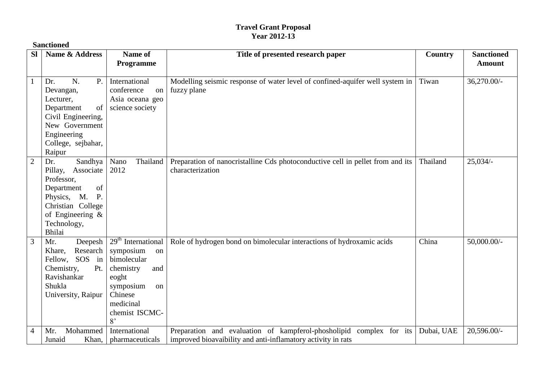## **Travel Grant Proposal Year 2012-13**

| <b>Sanctioned</b> |                                                                                                                                                                        |                                                                                                                                                        |                                                                                                                                     |            |                                    |  |  |
|-------------------|------------------------------------------------------------------------------------------------------------------------------------------------------------------------|--------------------------------------------------------------------------------------------------------------------------------------------------------|-------------------------------------------------------------------------------------------------------------------------------------|------------|------------------------------------|--|--|
| <b>SI</b>         | Name & Address                                                                                                                                                         | Name of<br>Programme                                                                                                                                   | Title of presented research paper                                                                                                   | Country    | <b>Sanctioned</b><br><b>Amount</b> |  |  |
| $\mathbf{1}$      | N.<br>P.<br>Dr.<br>Devangan,<br>Lecturer,<br>Department<br>of<br>Civil Engineering,<br>New Government<br>Engineering<br>College, sejbahar,<br>Raipur                   | International<br>conference<br>on<br>Asia oceana geo<br>science society                                                                                | Modelling seismic response of water level of confined-aquifer well system in<br>fuzzy plane                                         | Tiwan      | 36,270.00/-                        |  |  |
| $\sqrt{2}$        | Sandhya<br>Dr.<br>Pillay, Associate<br>Professor,<br>Department<br>of<br>Physics, M.<br>P.<br>Christian College<br>of Engineering $\&$<br>Technology,<br><b>Bhilai</b> | Nano<br>Thailand<br>2012                                                                                                                               | Preparation of nanocristalline Cds photoconductive cell in pellet from and its<br>characterization                                  | Thailand   | $25,034/-$                         |  |  |
| $\mathfrak{Z}$    | Deepesh<br>Mr.<br>Research<br>Khare,<br>Fellow, SOS in<br>Chemistry,<br>Pt.<br>Ravishankar<br>Shukla<br>University, Raipur                                             | $29th$ International<br>symposium<br>on<br>bimolecular<br>chemistry<br>and<br>eoght<br>symposium<br>on<br>Chinese<br>medicinal<br>chemist ISCMC-<br>8' | Role of hydrogen bond on bimolecular interactions of hydroxamic acids                                                               | China      | 50,000.00/-                        |  |  |
| $\overline{4}$    | Mohammed<br>Mr.<br>Junaid<br>Khan,                                                                                                                                     | International<br>pharmaceuticals                                                                                                                       | Preparation and evaluation of kampferol-phosholipid complex for its<br>improved bioavaibility and anti-inflamatory activity in rats | Dubai, UAE | 20,596.00/-                        |  |  |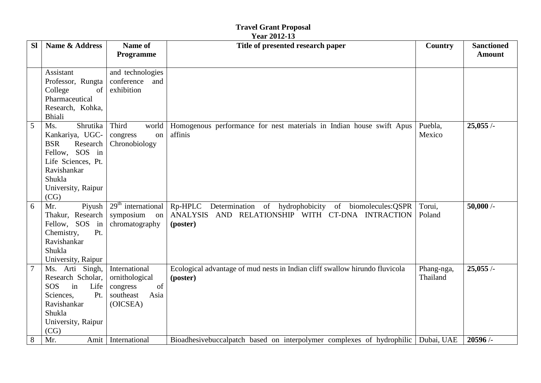|                | <b>Year 2012-13</b>                                                                                                                                         |                                                                                    |                                                                                                                              |                        |                                    |  |  |  |
|----------------|-------------------------------------------------------------------------------------------------------------------------------------------------------------|------------------------------------------------------------------------------------|------------------------------------------------------------------------------------------------------------------------------|------------------------|------------------------------------|--|--|--|
| <b>SI</b>      | Name & Address                                                                                                                                              | Name of<br>Programme                                                               | Title of presented research paper                                                                                            | <b>Country</b>         | <b>Sanctioned</b><br><b>Amount</b> |  |  |  |
|                | Assistant<br>Professor, Rungta<br>of<br>College<br>Pharmaceutical<br>Research, Kohka,<br><b>Bhiali</b>                                                      | and technologies<br>conference<br>and<br>exhibition                                |                                                                                                                              |                        |                                    |  |  |  |
| 5              | Shrutika<br>Ms.<br>Kankariya, UGC-<br><b>BSR</b><br>Research<br>Fellow, SOS in<br>Life Sciences, Pt.<br>Ravishankar<br>Shukla<br>University, Raipur<br>(CG) | Third<br>world<br>congress<br>on<br>Chronobiology                                  | Homogenous performance for nest materials in Indian house swift Apus<br>affinis                                              | Puebla,<br>Mexico      | 25,055/                            |  |  |  |
| 6              | Piyush<br>Mr.<br>Thakur, Research<br>Fellow, SOS in<br>Chemistry,<br>Pt.<br>Ravishankar<br>Shukla<br>University, Raipur                                     | $29th$ international<br>symposium<br>on<br>chromatography                          | Rp-HPLC Determination of hydrophobicity of biomolecules:QSPR<br>ANALYSIS AND RELATIONSHIP WITH CT-DNA INTRACTION<br>(poster) | Torui,<br>Poland       | 50,000/                            |  |  |  |
| $\overline{7}$ | Ms. Arti Singh,<br>Research Scholar,<br>SOS<br>in<br>Life<br>Sciences,<br>Pt.<br>Ravishankar<br>Shukla<br>University, Raipur<br>(CG)                        | International<br>ornithological<br>of<br>congress<br>Asia<br>southeast<br>(OICSEA) | Ecological advantage of mud nests in Indian cliff swallow hirundo fluvicola<br>(poster)                                      | Phang-nga,<br>Thailand | 25,055/                            |  |  |  |
| 8              | Mr.<br>Amit                                                                                                                                                 | International                                                                      | Bioadhesivebuccalpatch based on interpolymer complexes of hydrophilic Dubai, UAE                                             |                        | 20596/                             |  |  |  |

## **Travel Grant Proposal<br>Year 2012-13**